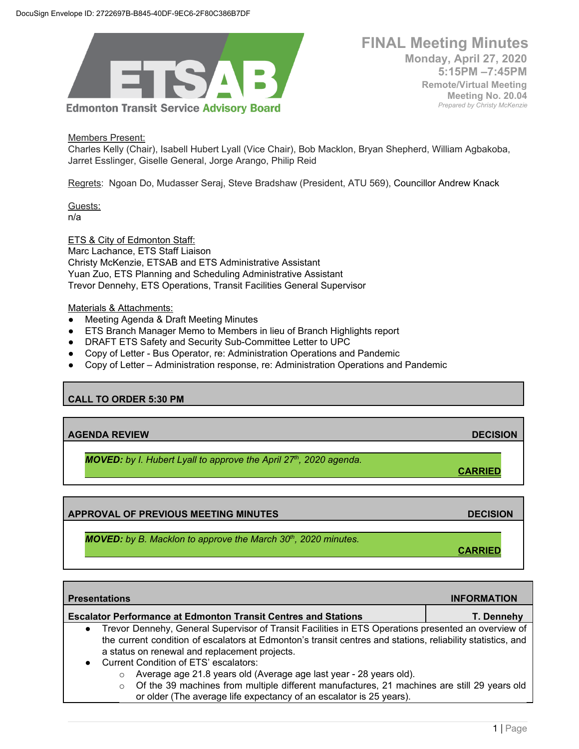

 **FINAL Meeting Minutes Monday, April 27, 2020 5:15PM –7:45PM Remote/Virtual Meeting Meeting No. 20.04** *Prepared by Christy McKenzie*

Members Present:

Charles Kelly (Chair), Isabell Hubert Lyall (Vice Chair), Bob Macklon, Bryan Shepherd, William Agbakoba, Jarret Esslinger, Giselle General, Jorge Arango, Philip Reid

Regrets: Ngoan Do, Mudasser Seraj, Steve Bradshaw (President, ATU 569), Councillor Andrew Knack

Guests: n/a

ETS & City of Edmonton Staff: Marc Lachance, ETS Staff Liaison Christy McKenzie, ETSAB and ETS Administrative Assistant Yuan Zuo, ETS Planning and Scheduling Administrative Assistant Trevor Dennehy, ETS Operations, Transit Facilities General Supervisor

#### Materials & Attachments:

- Meeting Agenda & Draft Meeting Minutes
- ETS Branch Manager Memo to Members in lieu of Branch Highlights report
- DRAFT ETS Safety and Security Sub-Committee Letter to UPC
- Copy of Letter Bus Operator, re: Administration Operations and Pandemic
- Copy of Letter Administration response, re: Administration Operations and Pandemic

### **CALL TO ORDER 5:30 PM**

**AGENDA REVIEW DECISION**

*MOVED: by I. Hubert Lyall to approve the April 27th, 2020 agenda.*

**APPROVAL OF PREVIOUS MEETING MINUTES DECISION**

*MOVED: by B. Macklon to approve the March 30th, 2020 minutes.*

**Presentations INFORMATION Escalator Performance at Edmonton Transit Centres and Stations T. Dennehy** Trevor Dennehy, General Supervisor of Transit Facilities in ETS Operations presented an overview of the current condition of escalators at Edmonton's transit centres and stations, reliability statistics, and a status on renewal and replacement projects. ● Current Condition of ETS' escalators: o Average age 21.8 years old (Average age last year - 28 years old).

 $\circ$  Of the 39 machines from multiple different manufactures, 21 machines are still 29 years old or older (The average life expectancy of an escalator is 25 years).

**CARRIED**

**CARRIED**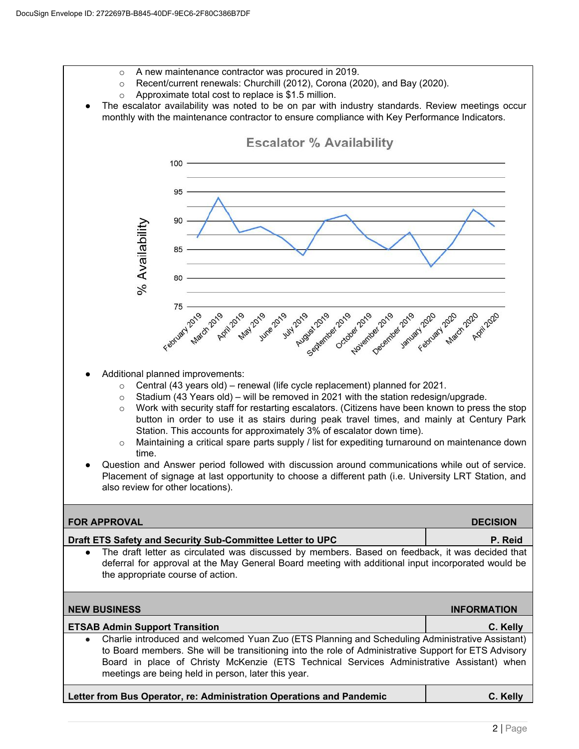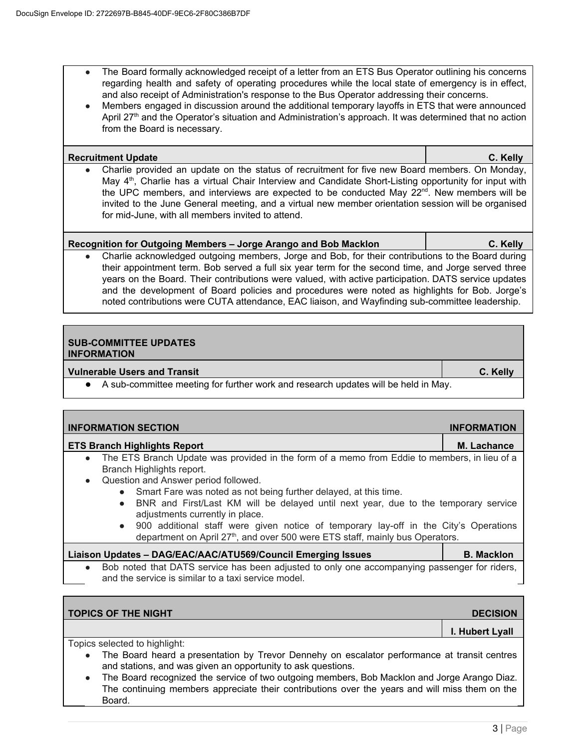- The Board formally acknowledged receipt of a letter from an ETS Bus Operator outlining his concerns regarding health and safety of operating procedures while the local state of emergency is in effect, and also receipt of Administration's response to the Bus Operator addressing their concerns.
- Members engaged in discussion around the additional temporary layoffs in ETS that were announced April  $27<sup>th</sup>$  and the Operator's situation and Administration's approach. It was determined that no action from the Board is necessary.

| <b>Recruitment Update</b>                                                                                                                                                                                                                                                                                                                                                                                                                                                                     | C. Kelly |
|-----------------------------------------------------------------------------------------------------------------------------------------------------------------------------------------------------------------------------------------------------------------------------------------------------------------------------------------------------------------------------------------------------------------------------------------------------------------------------------------------|----------|
| • Charlie provided an update on the status of recruitment for five new Board members. On Monday,<br>May 4 <sup>th</sup> , Charlie has a virtual Chair Interview and Candidate Short-Listing opportunity for input with<br>the UPC members, and interviews are expected to be conducted May 22 <sup>nd</sup> . New members will be<br>invited to the June General meeting, and a virtual new member orientation session will be organised<br>for mid-June, with all members invited to attend. |          |

# **Recognition for Outgoing Members – Jorge Arango and Bob Macklon C. Kelly**

Charlie acknowledged outgoing members, Jorge and Bob, for their contributions to the Board during their appointment term. Bob served a full six year term for the second time, and Jorge served three years on the Board. Their contributions were valued, with active participation. DATS service updates and the development of Board policies and procedures were noted as highlights for Bob. Jorge's noted contributions were CUTA attendance, EAC liaison, and Wayfinding sub-committee leadership.

# **SUB-COMMITTEE UPDATES INFORMATION**

## **Vulnerable Users and Transit C. Kelly**

● A sub-committee meeting for further work and research updates will be held in May.

| <b>INFORMATION SECTION</b>                                                                                                           | <b>INFORMATION</b> |  |  |
|--------------------------------------------------------------------------------------------------------------------------------------|--------------------|--|--|
| <b>ETS Branch Highlights Report</b>                                                                                                  | <b>M. Lachance</b> |  |  |
| The ETS Branch Update was provided in the form of a memo from Eddie to members, in lieu of a<br>$\bullet$                            |                    |  |  |
| Branch Highlights report.                                                                                                            |                    |  |  |
| Question and Answer period followed.<br>$\bullet$                                                                                    |                    |  |  |
| • Smart Fare was noted as not being further delayed, at this time.                                                                   |                    |  |  |
| • BNR and First/Last KM will be delayed until next year, due to the temporary service                                                |                    |  |  |
| adjustments currently in place.<br>900 additional staff were given notice of temporary lay-off in the City's Operations<br>$\bullet$ |                    |  |  |

department on April 27<sup>th</sup>, and over 500 were ETS staff, mainly bus Operators.

|  | Liaison Updates - DAG/EAC/AAC/ATU569/Council Emerging Issues                                 | <b>B.</b> Macklon |
|--|----------------------------------------------------------------------------------------------|-------------------|
|  | Bob noted that DATS service has been adjusted to only one accompanying passenger for riders, |                   |
|  | and the service is similar to a taxi service model.                                          |                   |

| <b>TOPICS OF THE NIGHT</b>                                                                                                                                   | <b>DECISION</b> |  |  |
|--------------------------------------------------------------------------------------------------------------------------------------------------------------|-----------------|--|--|
|                                                                                                                                                              | I. Hubert Lyall |  |  |
| Topics selected to highlight:                                                                                                                                |                 |  |  |
| The Board heard a presentation by Trevor Dennehy on escalator performance at transit centres<br>and stations, and was given an opportunity to ask questions. |                 |  |  |
| The Board recognized the service of two outgoing members, Bob Macklon and Jorge Arango Diaz.                                                                 |                 |  |  |

The continuing members appreciate their contributions over the years and will miss them on the Board.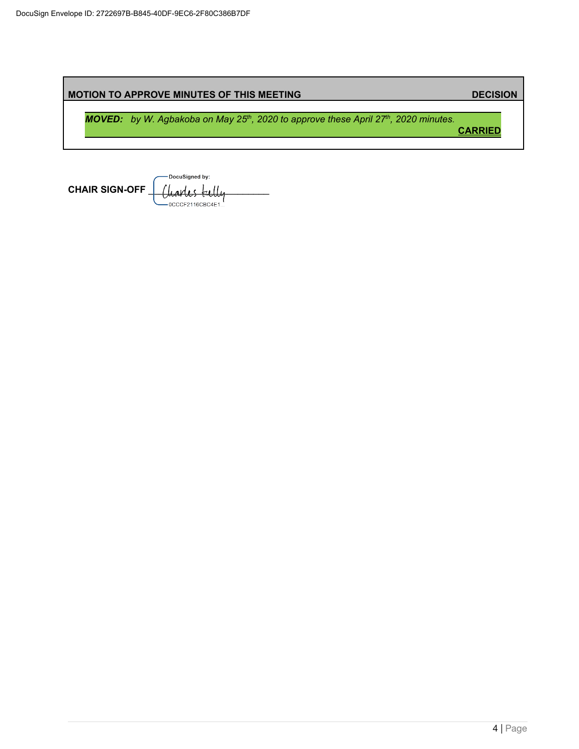|  | <b>MOTION TO APPROVE MINUTES OF THIS MEETING</b>                                                                    | <b>DECISION</b> |
|--|---------------------------------------------------------------------------------------------------------------------|-----------------|
|  | <b>MOVED:</b> by W. Agbakoba on May 25 <sup>th</sup> , 2020 to approve these April 27 <sup>th</sup> , 2020 minutes. | <b>CARRIED</b>  |
|  |                                                                                                                     |                 |

-DocuSigned by: CHAIR SIGN-OFF <u>[ Charles</u> tell ,<br>-0CCCF2116CBC4E1.